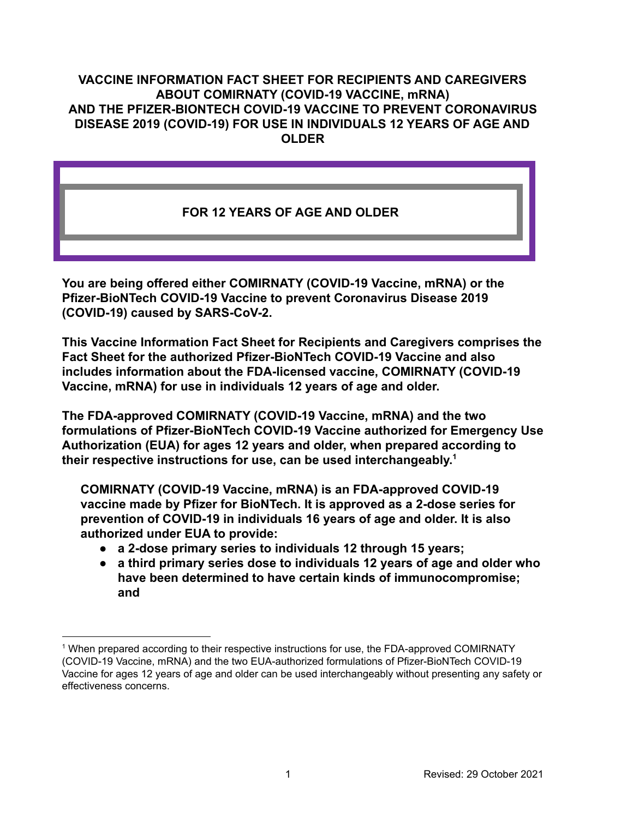### **VACCINE INFORMATION FACT SHEET FOR RECIPIENTS AND CAREGIVERS ABOUT COMIRNATY (COVID-19 VACCINE, mRNA) AND THE PFIZER-BIONTECH COVID-19 VACCINE TO PREVENT CORONAVIRUS DISEASE 2019 (COVID-19) FOR USE IN INDIVIDUALS 12 YEARS OF AGE AND OLDER**

# **FOR 12 YEARS OF AGE AND OLDER**

**You are being offered either COMIRNATY (COVID-19 Vaccine, mRNA) or the Pfizer-BioNTech COVID-19 Vaccine to prevent Coronavirus Disease 2019 (COVID-19) caused by SARS-CoV-2.**

**This Vaccine Information Fact Sheet for Recipients and Caregivers comprises the Fact Sheet for the authorized Pfizer-BioNTech COVID-19 Vaccine and also includes information about the FDA-licensed vaccine, COMIRNATY (COVID-19 Vaccine, mRNA) for use in individuals 12 years of age and older.**

**The FDA-approved COMIRNATY (COVID-19 Vaccine, mRNA) and the two formulations of Pfizer-BioNTech COVID-19 Vaccine authorized for Emergency Use Authorization (EUA) for ages 12 years and older, when prepared according to their respective instructions for use, can be used interchangeably. 1**

**COMIRNATY (COVID-19 Vaccine, mRNA) is an FDA-approved COVID-19 vaccine made by Pfizer for BioNTech. It is approved as a 2-dose series for prevention of COVID-19 in individuals 16 years of age and older. It is also authorized under EUA to provide:**

- **● a 2-dose primary series to individuals 12 through 15 years;**
- **● a third primary series dose to individuals 12 years of age and older who have been determined to have certain kinds of immunocompromise; and**

<sup>&</sup>lt;sup>1</sup> When prepared according to their respective instructions for use, the FDA-approved COMIRNATY (COVID-19 Vaccine, mRNA) and the two EUA-authorized formulations of Pfizer-BioNTech COVID-19 Vaccine for ages 12 years of age and older can be used interchangeably without presenting any safety or effectiveness concerns.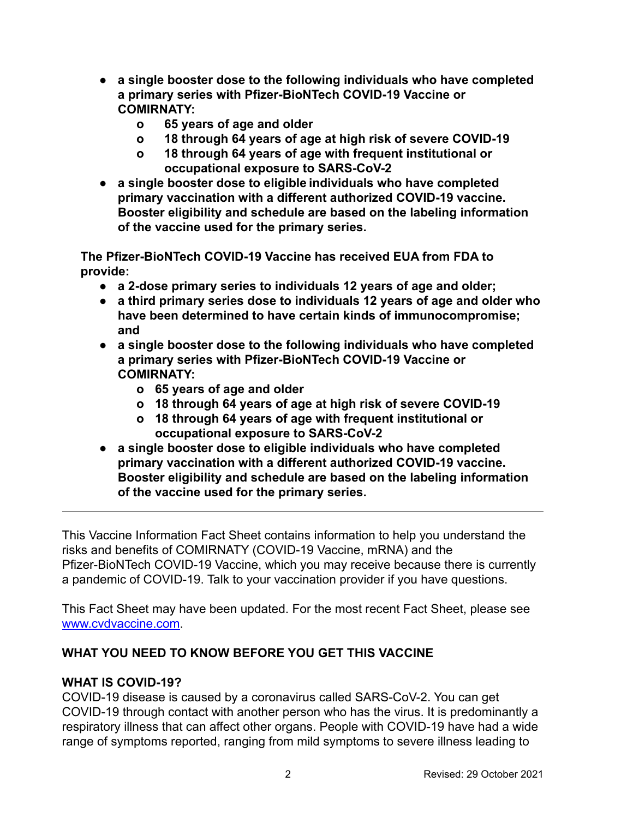- **● a single booster dose to the following individuals who have completed a primary series with Pfizer-BioNTech COVID-19 Vaccine or COMIRNATY:**
	- **o 65 years of age and older**
	- **o 18 through 64 years of age at high risk of severe COVID-19**
	- **o 18 through 64 years of age with frequent institutional or occupational exposure to SARS-CoV-2**
- **● a single booster dose to eligible individuals who have completed primary vaccination with a different authorized COVID-19 vaccine. Booster eligibility and schedule are based on the labeling information of the vaccine used for the primary series.**

**The Pfizer-BioNTech COVID-19 Vaccine has received EUA from FDA to provide:**

- **● a 2-dose primary series to individuals 12 years of age and older;**
- **● a third primary series dose to individuals 12 years of age and older who have been determined to have certain kinds of immunocompromise; and**
- **● a single booster dose to the following individuals who have completed a primary series with Pfizer-BioNTech COVID-19 Vaccine or COMIRNATY:**
	- **o 65 years of age and older**
	- **o 18 through 64 years of age at high risk of severe COVID-19**
	- **o 18 through 64 years of age with frequent institutional or occupational exposure to SARS-CoV-2**
- **● a single booster dose to eligible individuals who have completed primary vaccination with a different authorized COVID-19 vaccine. Booster eligibility and schedule are based on the labeling information of the vaccine used for the primary series.**

This Vaccine Information Fact Sheet contains information to help you understand the risks and benefits of COMIRNATY (COVID-19 Vaccine, mRNA) and the Pfizer-BioNTech COVID-19 Vaccine, which you may receive because there is currently a pandemic of COVID-19. Talk to your vaccination provider if you have questions.

This Fact Sheet may have been updated. For the most recent Fact Sheet, please see [www.cvdvaccine.com](http://www.cvdvaccine.com).

# **WHAT YOU NEED TO KNOW BEFORE YOU GET THIS VACCINE**

# **WHAT IS COVID-19?**

COVID-19 disease is caused by a coronavirus called SARS-CoV-2. You can get COVID-19 through contact with another person who has the virus. It is predominantly a respiratory illness that can affect other organs. People with COVID-19 have had a wide range of symptoms reported, ranging from mild symptoms to severe illness leading to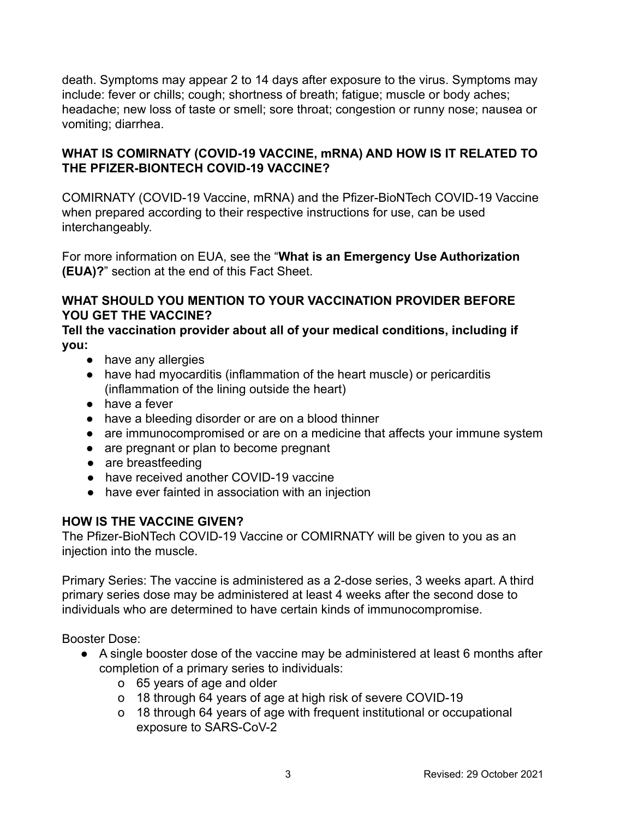death. Symptoms may appear 2 to 14 days after exposure to the virus. Symptoms may include: fever or chills; cough; shortness of breath; fatigue; muscle or body aches; headache; new loss of taste or smell; sore throat; congestion or runny nose; nausea or vomiting; diarrhea.

## **WHAT IS COMIRNATY (COVID-19 VACCINE, mRNA) AND HOW IS IT RELATED TO THE PFIZER-BIONTECH COVID-19 VACCINE?**

COMIRNATY (COVID-19 Vaccine, mRNA) and the Pfizer-BioNTech COVID-19 Vaccine when prepared according to their respective instructions for use, can be used interchangeably.

For more information on EUA, see the "**What is an Emergency Use Authorization (EUA)?**" section at the end of this Fact Sheet.

## **WHAT SHOULD YOU MENTION TO YOUR VACCINATION PROVIDER BEFORE YOU GET THE VACCINE?**

**Tell the vaccination provider about all of your medical conditions, including if you:**

- have any allergies
- have had myocarditis (inflammation of the heart muscle) or pericarditis (inflammation of the lining outside the heart)
- have a fever
- have a bleeding disorder or are on a blood thinner
- are immunocompromised or are on a medicine that affects your immune system
- are pregnant or plan to become pregnant
- are breastfeeding
- have received another COVID-19 vaccine
- have ever fainted in association with an injection

# **HOW IS THE VACCINE GIVEN?**

The Pfizer-BioNTech COVID-19 Vaccine or COMIRNATY will be given to you as an injection into the muscle.

Primary Series: The vaccine is administered as a 2-dose series, 3 weeks apart. A third primary series dose may be administered at least 4 weeks after the second dose to individuals who are determined to have certain kinds of immunocompromise.

Booster Dose:

- A single booster dose of the vaccine may be administered at least 6 months after completion of a primary series to individuals:
	- o 65 years of age and older
	- o 18 through 64 years of age at high risk of severe COVID-19
	- o 18 through 64 years of age with frequent institutional or occupational exposure to SARS-CoV-2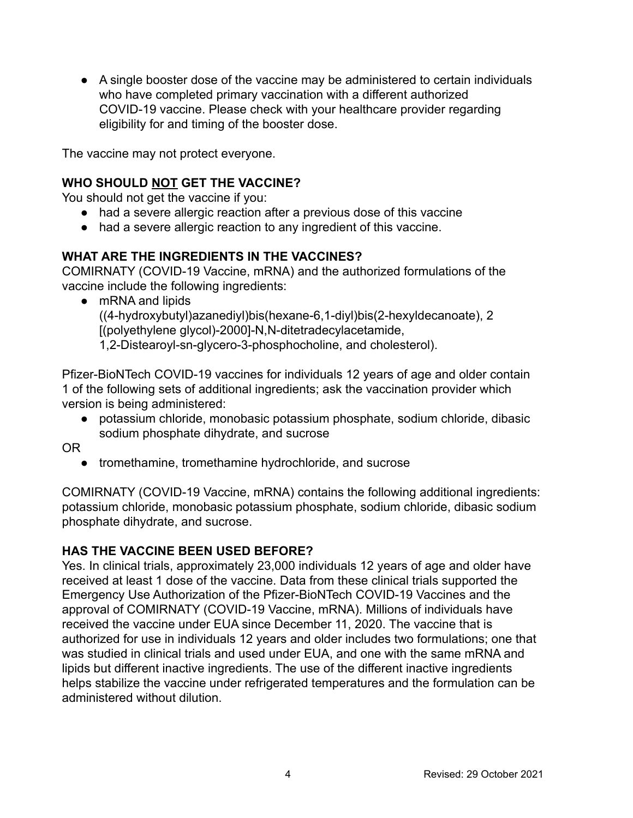● A single booster dose of the vaccine may be administered to certain individuals who have completed primary vaccination with a different authorized COVID-19 vaccine. Please check with your healthcare provider regarding eligibility for and timing of the booster dose.

The vaccine may not protect everyone.

# **WHO SHOULD NOT GET THE VACCINE?**

You should not get the vaccine if you:

- had a severe allergic reaction after a previous dose of this vaccine
- had a severe allergic reaction to any ingredient of this vaccine.

# **WHAT ARE THE INGREDIENTS IN THE VACCINES?**

COMIRNATY (COVID-19 Vaccine, mRNA) and the authorized formulations of the vaccine include the following ingredients:

• mRNA and lipids

((4-hydroxybutyl)azanediyl)bis(hexane-6,1-diyl)bis(2-hexyldecanoate), 2 [(polyethylene glycol)-2000]-N,N-ditetradecylacetamide,

1,2-Distearoyl-sn-glycero-3-phosphocholine, and cholesterol).

Pfizer-BioNTech COVID-19 vaccines for individuals 12 years of age and older contain 1 of the following sets of additional ingredients; ask the vaccination provider which version is being administered:

- potassium chloride, monobasic potassium phosphate, sodium chloride, dibasic sodium phosphate dihydrate, and sucrose
- OR
	- tromethamine, tromethamine hydrochloride, and sucrose

COMIRNATY (COVID-19 Vaccine, mRNA) contains the following additional ingredients: potassium chloride, monobasic potassium phosphate, sodium chloride, dibasic sodium phosphate dihydrate, and sucrose.

# **HAS THE VACCINE BEEN USED BEFORE?**

Yes. In clinical trials, approximately 23,000 individuals 12 years of age and older have received at least 1 dose of the vaccine. Data from these clinical trials supported the Emergency Use Authorization of the Pfizer-BioNTech COVID-19 Vaccines and the approval of COMIRNATY (COVID-19 Vaccine, mRNA). Millions of individuals have received the vaccine under EUA since December 11, 2020. The vaccine that is authorized for use in individuals 12 years and older includes two formulations; one that was studied in clinical trials and used under EUA, and one with the same mRNA and lipids but different inactive ingredients. The use of the different inactive ingredients helps stabilize the vaccine under refrigerated temperatures and the formulation can be administered without dilution.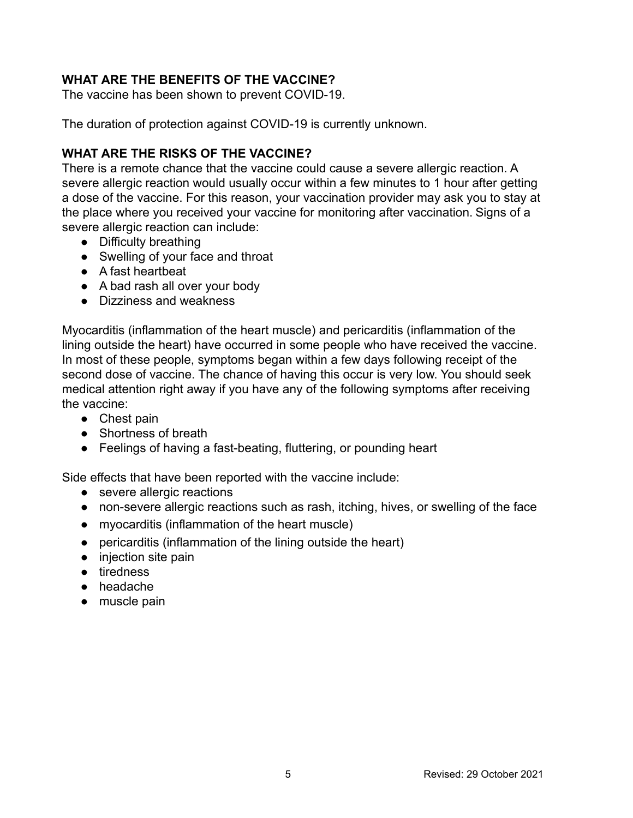# **WHAT ARE THE BENEFITS OF THE VACCINE?**

The vaccine has been shown to prevent COVID-19.

The duration of protection against COVID-19 is currently unknown.

## **WHAT ARE THE RISKS OF THE VACCINE?**

There is a remote chance that the vaccine could cause a severe allergic reaction. A severe allergic reaction would usually occur within a few minutes to 1 hour after getting a dose of the vaccine. For this reason, your vaccination provider may ask you to stay at the place where you received your vaccine for monitoring after vaccination. Signs of a severe allergic reaction can include:

- Difficulty breathing
- Swelling of your face and throat
- A fast heartbeat
- A bad rash all over your body
- Dizziness and weakness

Myocarditis (inflammation of the heart muscle) and pericarditis (inflammation of the lining outside the heart) have occurred in some people who have received the vaccine. In most of these people, symptoms began within a few days following receipt of the second dose of vaccine. The chance of having this occur is very low. You should seek medical attention right away if you have any of the following symptoms after receiving the vaccine:

- Chest pain
- Shortness of breath
- Feelings of having a fast-beating, fluttering, or pounding heart

Side effects that have been reported with the vaccine include:

- severe allergic reactions
- non-severe allergic reactions such as rash, itching, hives, or swelling of the face
- myocarditis (inflammation of the heart muscle)
- pericarditis (inflammation of the lining outside the heart)
- injection site pain
- tiredness
- headache
- muscle pain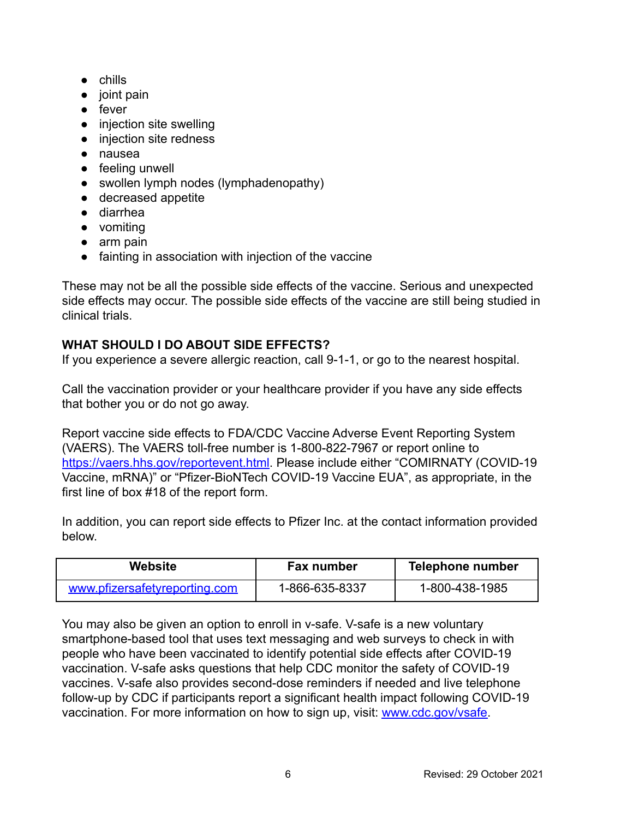- chills
- joint pain
- fever
- injection site swelling
- injection site redness
- nausea
- feeling unwell
- swollen lymph nodes (lymphadenopathy)
- decreased appetite
- diarrhea
- vomiting
- arm pain
- fainting in association with injection of the vaccine

These may not be all the possible side effects of the vaccine. Serious and unexpected side effects may occur. The possible side effects of the vaccine are still being studied in clinical trials.

# **WHAT SHOULD I DO ABOUT SIDE EFFECTS?**

If you experience a severe allergic reaction, call 9-1-1, or go to the nearest hospital.

Call the vaccination provider or your healthcare provider if you have any side effects that bother you or do not go away.

Report vaccine side effects to FDA/CDC Vaccine Adverse Event Reporting System (VAERS). The VAERS toll-free number is 1-800-822-7967 or report online to [https://vaers.hhs.gov/reportevent.html.](https://vaers.hhs.gov/reportevent.html) Please include either "COMIRNATY (COVID-19 Vaccine, mRNA)" or "Pfizer-BioNTech COVID-19 Vaccine EUA", as appropriate, in the first line of box #18 of the report form.

In addition, you can report side effects to Pfizer Inc. at the contact information provided below.

| Website                       | Fax number     | <b>Telephone number</b> |
|-------------------------------|----------------|-------------------------|
| www.pfizersafetyreporting.com | 1-866-635-8337 | 1-800-438-1985          |

You may also be given an option to enroll in v-safe. V-safe is a new voluntary smartphone-based tool that uses text messaging and web surveys to check in with people who have been vaccinated to identify potential side effects after COVID-19 vaccination. V-safe asks questions that help CDC monitor the safety of COVID-19 vaccines. V-safe also provides second-dose reminders if needed and live telephone follow-up by CDC if participants report a significant health impact following COVID-19 vaccination. For more information on how to sign up, visit: [www.cdc.gov/vsafe.](https://urldefense.proofpoint.com/v2/url?u=http-3A__www.cdc.gov_vsafe&d=DwMF-g&c=UE1eNsedaKncO0Yl_u8bfw&r=iggimxFo1bnCoTNHtFHht7zBjWLmMD5xyYOHusHEMRA&m=NUusRcDWxrAYwskpVPikFjIp1YMB1upPlqmEqHLqywo&s=ZgZDg3kpZyGQV82QCF-MKAMdQ9UDWQqf3K-6eMVizRE&e=)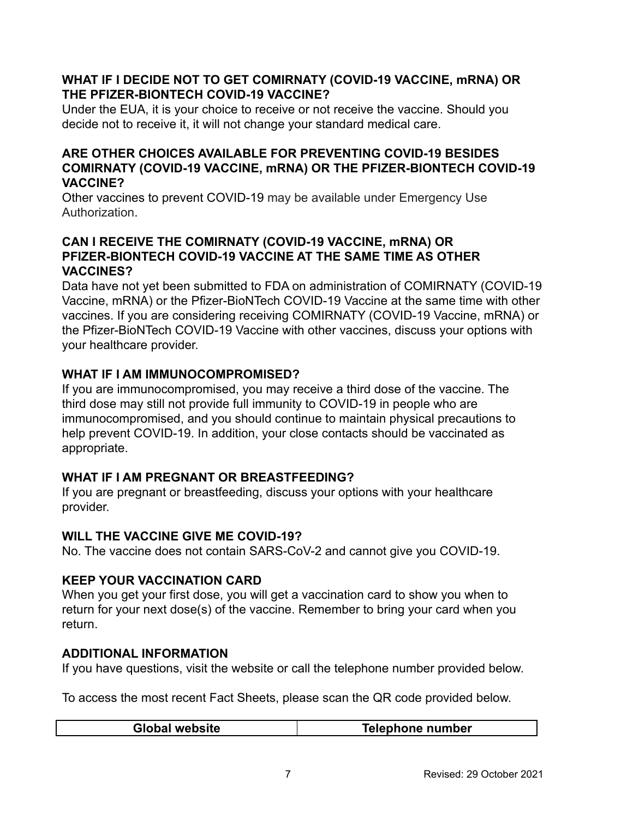### **WHAT IF I DECIDE NOT TO GET COMIRNATY (COVID-19 VACCINE, mRNA) OR THE PFIZER-BIONTECH COVID-19 VACCINE?**

Under the EUA, it is your choice to receive or not receive the vaccine. Should you decide not to receive it, it will not change your standard medical care.

### **ARE OTHER CHOICES AVAILABLE FOR PREVENTING COVID-19 BESIDES COMIRNATY (COVID-19 VACCINE, mRNA) OR THE PFIZER-BIONTECH COVID-19 VACCINE?**

Other vaccines to prevent COVID-19 may be available under Emergency Use Authorization.

### **CAN I RECEIVE THE COMIRNATY (COVID-19 VACCINE, mRNA) OR PFIZER-BIONTECH COVID-19 VACCINE AT THE SAME TIME AS OTHER VACCINES?**

Data have not yet been submitted to FDA on administration of COMIRNATY (COVID-19 Vaccine, mRNA) or the Pfizer-BioNTech COVID-19 Vaccine at the same time with other vaccines. If you are considering receiving COMIRNATY (COVID-19 Vaccine, mRNA) or the Pfizer-BioNTech COVID-19 Vaccine with other vaccines, discuss your options with your healthcare provider.

# **WHAT IF I AM IMMUNOCOMPROMISED?**

If you are immunocompromised, you may receive a third dose of the vaccine. The third dose may still not provide full immunity to COVID-19 in people who are immunocompromised, and you should continue to maintain physical precautions to help prevent COVID-19. In addition, your close contacts should be vaccinated as appropriate.

# **WHAT IF I AM PREGNANT OR BREASTFEEDING?**

If you are pregnant or breastfeeding, discuss your options with your healthcare provider.

# **WILL THE VACCINE GIVE ME COVID-19?**

No. The vaccine does not contain SARS-CoV-2 and cannot give you COVID-19.

# **KEEP YOUR VACCINATION CARD**

When you get your first dose, you will get a vaccination card to show you when to return for your next dose(s) of the vaccine. Remember to bring your card when you return.

# **ADDITIONAL INFORMATION**

If you have questions, visit the website or call the telephone number provided below.

To access the most recent Fact Sheets, please scan the QR code provided below.

|  | l website<br>Glob | Telephone number |
|--|-------------------|------------------|
|--|-------------------|------------------|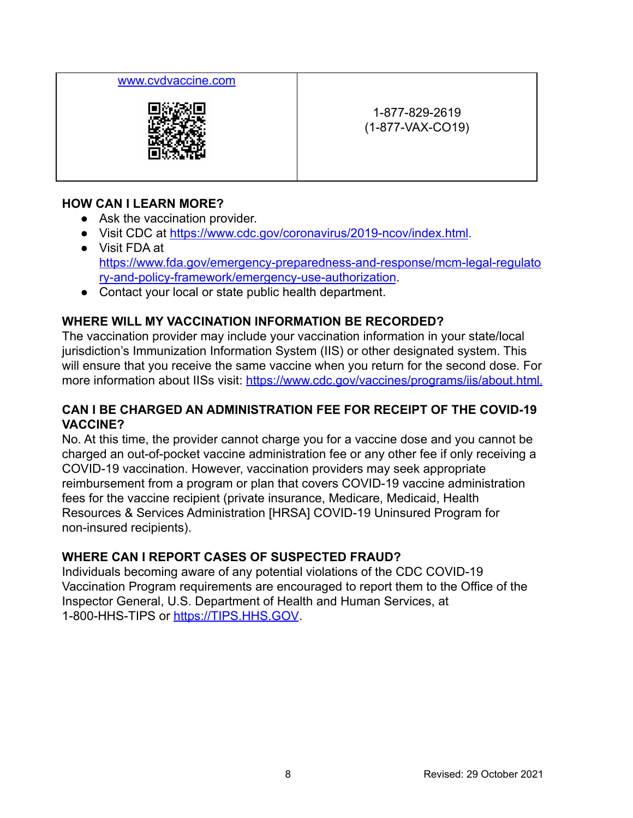### [www.cvdvaccine.com](http://www.cvdvaccine.com)



1-877-829-2619 (1-877-VAX-CO19)

### **HOW CAN I LEARN MORE?**

- Ask the vaccination provider.
- Visit CDC at <https://www.cdc.gov/coronavirus/2019-ncov/index.html>.
- Visit FDA at [https://www.fda.gov/emergency-preparedness-and-response/mcm-legal-regulato](https://www.fda.gov/emergency-preparedness-and-response/mcm-legal-regulatory-and-policy-framework/emergency-use-authorization) [ry-and-policy-framework/emergency-use-authorization](https://www.fda.gov/emergency-preparedness-and-response/mcm-legal-regulatory-and-policy-framework/emergency-use-authorization).
- Contact your local or state public health department.

# **WHERE WILL MY VACCINATION INFORMATION BE RECORDED?**

The vaccination provider may include your vaccination information in your state/local jurisdiction's Immunization Information System (IIS) or other designated system. This will ensure that you receive the same vaccine when you return for the second dose. For more information about IISs visit: <https://www.cdc.gov/vaccines/programs/iis/about.html>.

### **CAN I BE CHARGED AN ADMINISTRATION FEE FOR RECEIPT OF THE COVID-19 VACCINE?**

No. At this time, the provider cannot charge you for a vaccine dose and you cannot be charged an out-of-pocket vaccine administration fee or any other fee if only receiving a COVID-19 vaccination. However, vaccination providers may seek appropriate reimbursement from a program or plan that covers COVID-19 vaccine administration fees for the vaccine recipient (private insurance, Medicare, Medicaid, Health Resources & Services Administration [HRSA] COVID-19 Uninsured Program for non-insured recipients).

# **WHERE CAN I REPORT CASES OF SUSPECTED FRAUD?**

Individuals becoming aware of any potential violations of the CDC COVID-19 Vaccination Program requirements are encouraged to report them to the Office of the Inspector General, U.S. Department of Health and Human Services, at 1-800-HHS-TIPS or [https://TIPS.HHS.GOV](https://tips.hhs.gov).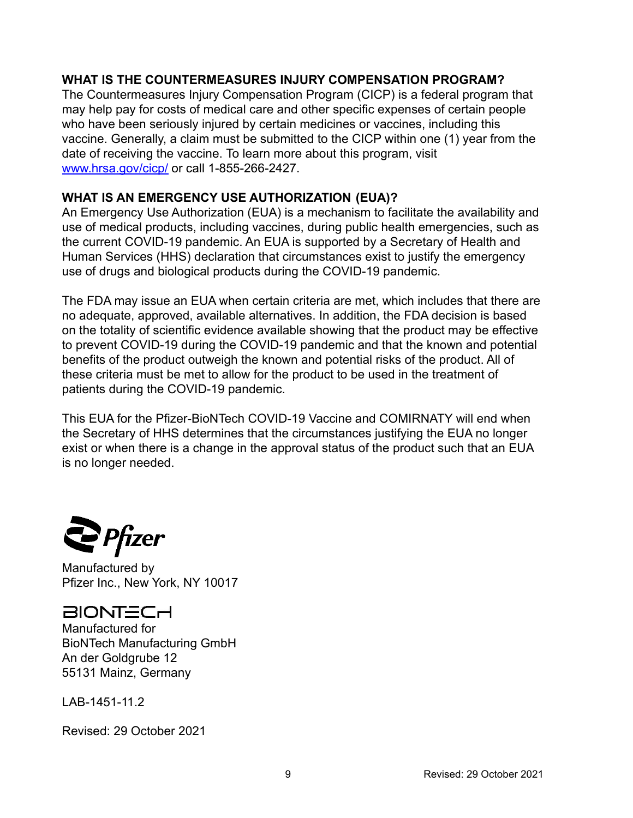### **WHAT IS THE COUNTERMEASURES INJURY COMPENSATION PROGRAM?**

The Countermeasures Injury Compensation Program (CICP) is a federal program that may help pay for costs of medical care and other specific expenses of certain people who have been seriously injured by certain medicines or vaccines, including this vaccine. Generally, a claim must be submitted to the CICP within one (1) year from the date of receiving the vaccine. To learn more about this program, visit [www.hrsa.gov/cicp/](http://www.hrsa.gov/cicp/) or call 1-855-266-2427.

## **WHAT IS AN EMERGENCY USE AUTHORIZATION (EUA)?**

An Emergency Use Authorization (EUA) is a mechanism to facilitate the availability and use of medical products, including vaccines, during public health emergencies, such as the current COVID-19 pandemic. An EUA is supported by a Secretary of Health and Human Services (HHS) declaration that circumstances exist to justify the emergency use of drugs and biological products during the COVID-19 pandemic.

The FDA may issue an EUA when certain criteria are met, which includes that there are no adequate, approved, available alternatives. In addition, the FDA decision is based on the totality of scientific evidence available showing that the product may be effective to prevent COVID-19 during the COVID-19 pandemic and that the known and potential benefits of the product outweigh the known and potential risks of the product. All of these criteria must be met to allow for the product to be used in the treatment of patients during the COVID-19 pandemic.

This EUA for the Pfizer-BioNTech COVID-19 Vaccine and COMIRNATY will end when the Secretary of HHS determines that the circumstances justifying the EUA no longer exist or when there is a change in the approval status of the product such that an EUA is no longer needed.

**P**fizer

Manufactured by Pfizer Inc., New York, NY 10017

# **BIONTECH**

Manufactured for BioNTech Manufacturing GmbH An der Goldgrube 12 55131 Mainz, Germany

LAB-1451-11.2

Revised: 29 October 2021